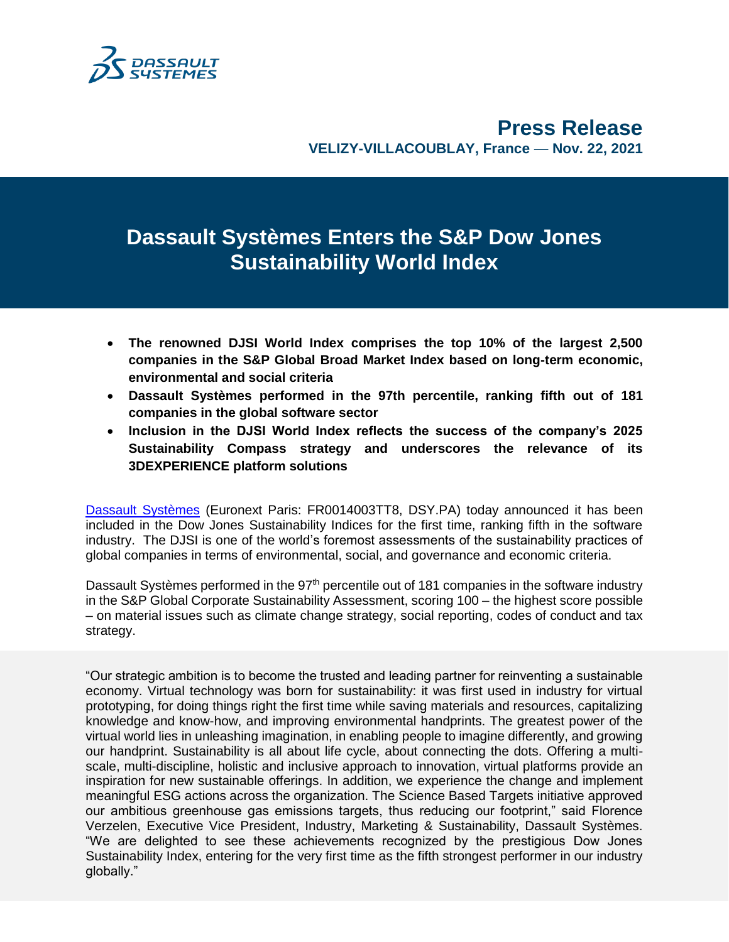

# **Dassault Systèmes Enters the S&P Dow Jones Sustainability World Index**

- **The renowned DJSI World Index comprises the top 10% of the largest 2,500 companies in the S&P Global Broad Market Index based on long-term economic, environmental and social criteria**
- **Dassault Systèmes performed in the 97th percentile, ranking fifth out of 181 companies in the global software sector**
- **Inclusion in the DJSI World Index reflects the success of the company's 2025 Sustainability Compass strategy and underscores the relevance of its 3DEXPERIENCE platform solutions**

[Dassault Systèmes](http://www.3ds.com/) (Euronext Paris: FR0014003TT8, DSY.PA) today announced it has been included in the Dow Jones Sustainability Indices for the first time, ranking fifth in the software industry. The DJSI is one of the world's foremost assessments of the sustainability practices of global companies in terms of environmental, social, and governance and economic criteria.

Dassault Systèmes performed in the 97<sup>th</sup> percentile out of 181 companies in the software industry in the S&P Global Corporate Sustainability Assessment, scoring 100 – the highest score possible – on material issues such as climate change strategy, social reporting, codes of conduct and tax strategy.

"Our strategic ambition is to become the trusted and leading partner for reinventing a sustainable economy. Virtual technology was born for sustainability: it was first used in industry for virtual prototyping, for doing things right the first time while saving materials and resources, capitalizing knowledge and know-how, and improving environmental handprints. The greatest power of the virtual world lies in unleashing imagination, in enabling people to imagine differently, and growing our handprint. Sustainability is all about life cycle, about connecting the dots. Offering a multiscale, multi-discipline, holistic and inclusive approach to innovation, virtual platforms provide an inspiration for new sustainable offerings. In addition, we experience the change and implement meaningful ESG actions across the organization. The Science Based Targets initiative approved our ambitious greenhouse gas emissions targets, thus reducing our footprint," said Florence Verzelen, Executive Vice President, Industry, Marketing & Sustainability, Dassault Systèmes. "We are delighted to see these achievements recognized by the prestigious Dow Jones Sustainability Index, entering for the very first time as the fifth strongest performer in our industry globally."